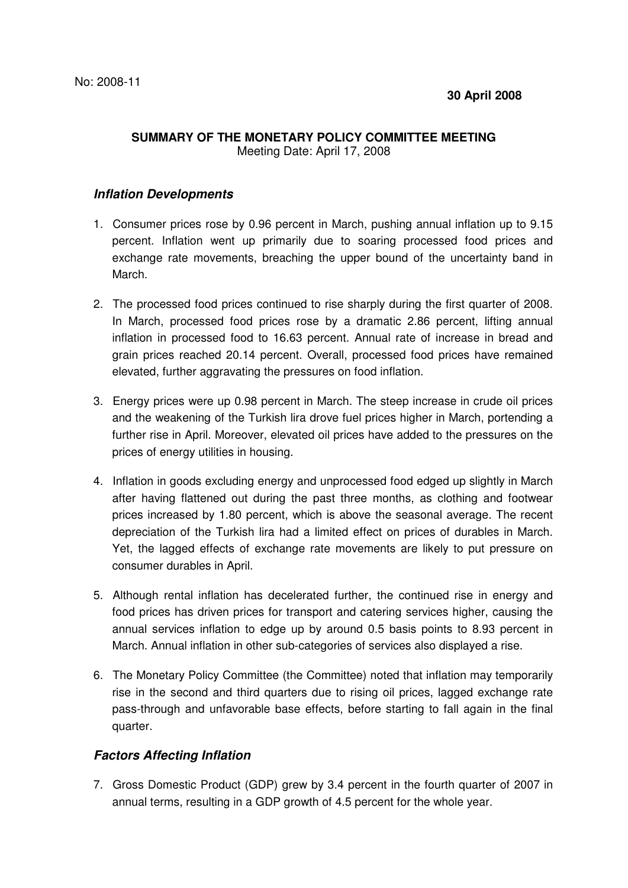## **SUMMARY OF THE MONETARY POLICY COMMITTEE MEETING** Meeting Date: April 17, 2008

## **Inflation Developments**

- 1. Consumer prices rose by 0.96 percent in March, pushing annual inflation up to 9.15 percent. Inflation went up primarily due to soaring processed food prices and exchange rate movements, breaching the upper bound of the uncertainty band in March.
- 2. The processed food prices continued to rise sharply during the first quarter of 2008. In March, processed food prices rose by a dramatic 2.86 percent, lifting annual inflation in processed food to 16.63 percent. Annual rate of increase in bread and grain prices reached 20.14 percent. Overall, processed food prices have remained elevated, further aggravating the pressures on food inflation.
- 3. Energy prices were up 0.98 percent in March. The steep increase in crude oil prices and the weakening of the Turkish lira drove fuel prices higher in March, portending a further rise in April. Moreover, elevated oil prices have added to the pressures on the prices of energy utilities in housing.
- 4. Inflation in goods excluding energy and unprocessed food edged up slightly in March after having flattened out during the past three months, as clothing and footwear prices increased by 1.80 percent, which is above the seasonal average. The recent depreciation of the Turkish lira had a limited effect on prices of durables in March. Yet, the lagged effects of exchange rate movements are likely to put pressure on consumer durables in April.
- 5. Although rental inflation has decelerated further, the continued rise in energy and food prices has driven prices for transport and catering services higher, causing the annual services inflation to edge up by around 0.5 basis points to 8.93 percent in March. Annual inflation in other sub-categories of services also displayed a rise.
- 6. The Monetary Policy Committee (the Committee) noted that inflation may temporarily rise in the second and third quarters due to rising oil prices, lagged exchange rate pass-through and unfavorable base effects, before starting to fall again in the final quarter.

## **Factors Affecting Inflation**

7. Gross Domestic Product (GDP) grew by 3.4 percent in the fourth quarter of 2007 in annual terms, resulting in a GDP growth of 4.5 percent for the whole year.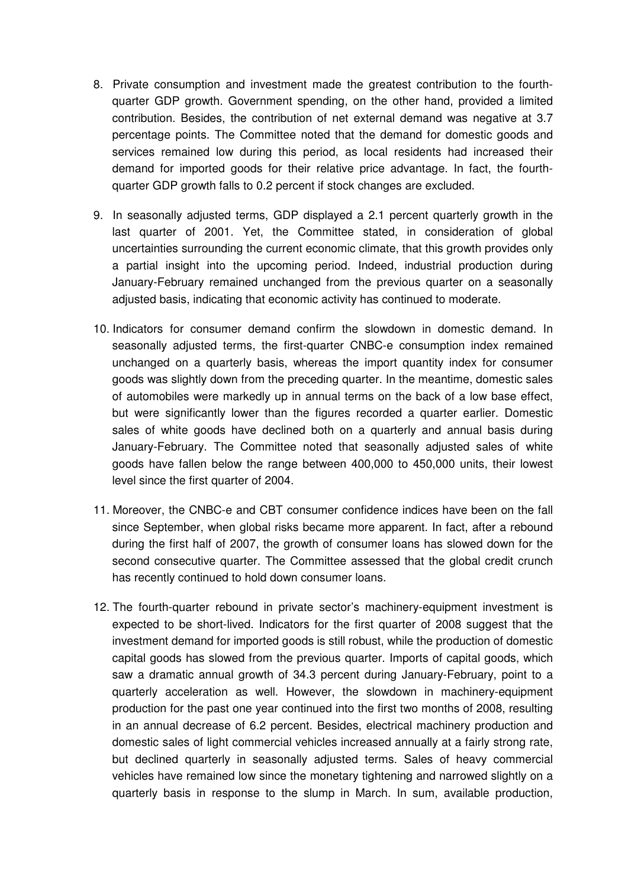- 8. Private consumption and investment made the greatest contribution to the fourthquarter GDP growth. Government spending, on the other hand, provided a limited contribution. Besides, the contribution of net external demand was negative at 3.7 percentage points. The Committee noted that the demand for domestic goods and services remained low during this period, as local residents had increased their demand for imported goods for their relative price advantage. In fact, the fourthquarter GDP growth falls to 0.2 percent if stock changes are excluded.
- 9. In seasonally adjusted terms, GDP displayed a 2.1 percent quarterly growth in the last quarter of 2001. Yet, the Committee stated, in consideration of global uncertainties surrounding the current economic climate, that this growth provides only a partial insight into the upcoming period. Indeed, industrial production during January-February remained unchanged from the previous quarter on a seasonally adjusted basis, indicating that economic activity has continued to moderate.
- 10. Indicators for consumer demand confirm the slowdown in domestic demand. In seasonally adjusted terms, the first-quarter CNBC-e consumption index remained unchanged on a quarterly basis, whereas the import quantity index for consumer goods was slightly down from the preceding quarter. In the meantime, domestic sales of automobiles were markedly up in annual terms on the back of a low base effect, but were significantly lower than the figures recorded a quarter earlier. Domestic sales of white goods have declined both on a quarterly and annual basis during January-February. The Committee noted that seasonally adjusted sales of white goods have fallen below the range between 400,000 to 450,000 units, their lowest level since the first quarter of 2004.
- 11. Moreover, the CNBC-e and CBT consumer confidence indices have been on the fall since September, when global risks became more apparent. In fact, after a rebound during the first half of 2007, the growth of consumer loans has slowed down for the second consecutive quarter. The Committee assessed that the global credit crunch has recently continued to hold down consumer loans.
- 12. The fourth-quarter rebound in private sector's machinery-equipment investment is expected to be short-lived. Indicators for the first quarter of 2008 suggest that the investment demand for imported goods is still robust, while the production of domestic capital goods has slowed from the previous quarter. Imports of capital goods, which saw a dramatic annual growth of 34.3 percent during January-February, point to a quarterly acceleration as well. However, the slowdown in machinery-equipment production for the past one year continued into the first two months of 2008, resulting in an annual decrease of 6.2 percent. Besides, electrical machinery production and domestic sales of light commercial vehicles increased annually at a fairly strong rate, but declined quarterly in seasonally adjusted terms. Sales of heavy commercial vehicles have remained low since the monetary tightening and narrowed slightly on a quarterly basis in response to the slump in March. In sum, available production,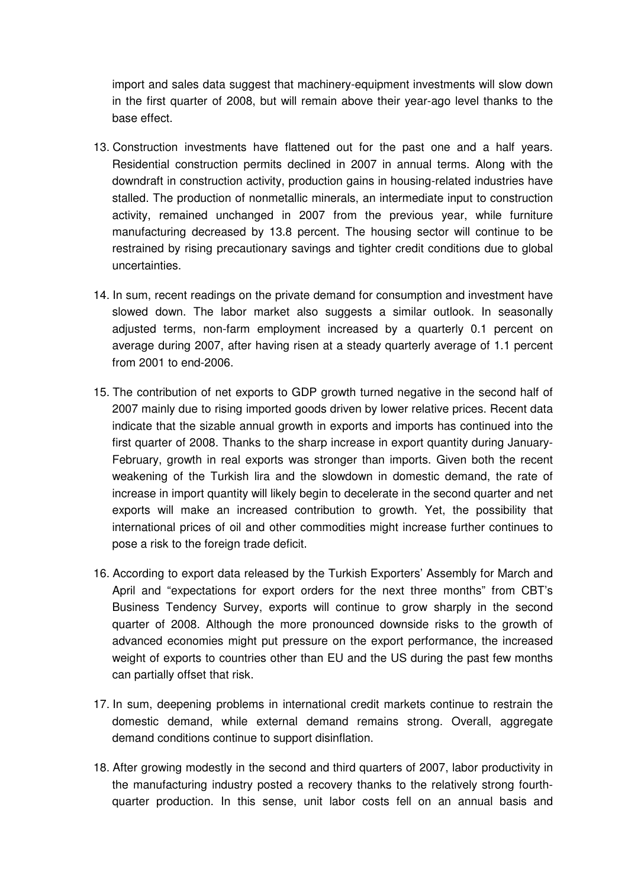import and sales data suggest that machinery-equipment investments will slow down in the first quarter of 2008, but will remain above their year-ago level thanks to the base effect.

- 13. Construction investments have flattened out for the past one and a half years. Residential construction permits declined in 2007 in annual terms. Along with the downdraft in construction activity, production gains in housing-related industries have stalled. The production of nonmetallic minerals, an intermediate input to construction activity, remained unchanged in 2007 from the previous year, while furniture manufacturing decreased by 13.8 percent. The housing sector will continue to be restrained by rising precautionary savings and tighter credit conditions due to global uncertainties.
- 14. In sum, recent readings on the private demand for consumption and investment have slowed down. The labor market also suggests a similar outlook. In seasonally adjusted terms, non-farm employment increased by a quarterly 0.1 percent on average during 2007, after having risen at a steady quarterly average of 1.1 percent from 2001 to end-2006.
- 15. The contribution of net exports to GDP growth turned negative in the second half of 2007 mainly due to rising imported goods driven by lower relative prices. Recent data indicate that the sizable annual growth in exports and imports has continued into the first quarter of 2008. Thanks to the sharp increase in export quantity during January-February, growth in real exports was stronger than imports. Given both the recent weakening of the Turkish lira and the slowdown in domestic demand, the rate of increase in import quantity will likely begin to decelerate in the second quarter and net exports will make an increased contribution to growth. Yet, the possibility that international prices of oil and other commodities might increase further continues to pose a risk to the foreign trade deficit.
- 16. According to export data released by the Turkish Exporters' Assembly for March and April and "expectations for export orders for the next three months" from CBT's Business Tendency Survey, exports will continue to grow sharply in the second quarter of 2008. Although the more pronounced downside risks to the growth of advanced economies might put pressure on the export performance, the increased weight of exports to countries other than EU and the US during the past few months can partially offset that risk.
- 17. In sum, deepening problems in international credit markets continue to restrain the domestic demand, while external demand remains strong. Overall, aggregate demand conditions continue to support disinflation.
- 18. After growing modestly in the second and third quarters of 2007, labor productivity in the manufacturing industry posted a recovery thanks to the relatively strong fourthquarter production. In this sense, unit labor costs fell on an annual basis and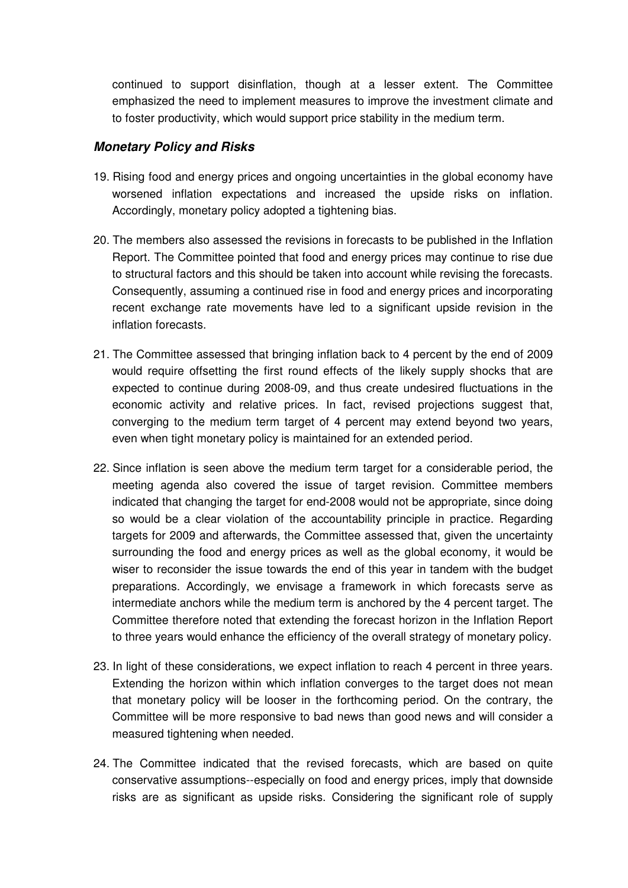continued to support disinflation, though at a lesser extent. The Committee emphasized the need to implement measures to improve the investment climate and to foster productivity, which would support price stability in the medium term.

## **Monetary Policy and Risks**

- 19. Rising food and energy prices and ongoing uncertainties in the global economy have worsened inflation expectations and increased the upside risks on inflation. Accordingly, monetary policy adopted a tightening bias.
- 20. The members also assessed the revisions in forecasts to be published in the Inflation Report. The Committee pointed that food and energy prices may continue to rise due to structural factors and this should be taken into account while revising the forecasts. Consequently, assuming a continued rise in food and energy prices and incorporating recent exchange rate movements have led to a significant upside revision in the inflation forecasts.
- 21. The Committee assessed that bringing inflation back to 4 percent by the end of 2009 would require offsetting the first round effects of the likely supply shocks that are expected to continue during 2008-09, and thus create undesired fluctuations in the economic activity and relative prices. In fact, revised projections suggest that, converging to the medium term target of 4 percent may extend beyond two years, even when tight monetary policy is maintained for an extended period.
- 22. Since inflation is seen above the medium term target for a considerable period, the meeting agenda also covered the issue of target revision. Committee members indicated that changing the target for end-2008 would not be appropriate, since doing so would be a clear violation of the accountability principle in practice. Regarding targets for 2009 and afterwards, the Committee assessed that, given the uncertainty surrounding the food and energy prices as well as the global economy, it would be wiser to reconsider the issue towards the end of this year in tandem with the budget preparations. Accordingly, we envisage a framework in which forecasts serve as intermediate anchors while the medium term is anchored by the 4 percent target. The Committee therefore noted that extending the forecast horizon in the Inflation Report to three years would enhance the efficiency of the overall strategy of monetary policy.
- 23. In light of these considerations, we expect inflation to reach 4 percent in three years. Extending the horizon within which inflation converges to the target does not mean that monetary policy will be looser in the forthcoming period. On the contrary, the Committee will be more responsive to bad news than good news and will consider a measured tightening when needed.
- 24. The Committee indicated that the revised forecasts, which are based on quite conservative assumptions--especially on food and energy prices, imply that downside risks are as significant as upside risks. Considering the significant role of supply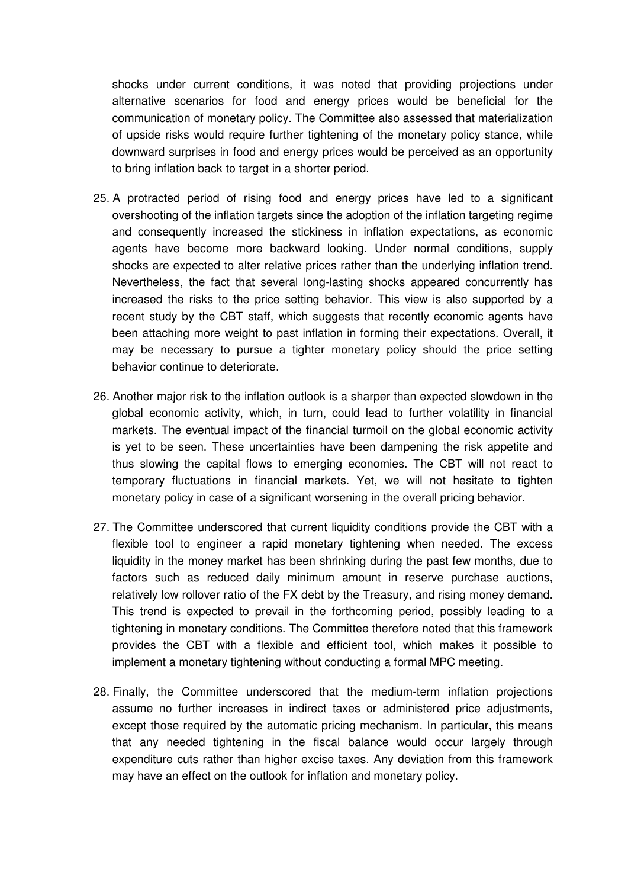shocks under current conditions, it was noted that providing projections under alternative scenarios for food and energy prices would be beneficial for the communication of monetary policy. The Committee also assessed that materialization of upside risks would require further tightening of the monetary policy stance, while downward surprises in food and energy prices would be perceived as an opportunity to bring inflation back to target in a shorter period.

- 25. A protracted period of rising food and energy prices have led to a significant overshooting of the inflation targets since the adoption of the inflation targeting regime and consequently increased the stickiness in inflation expectations, as economic agents have become more backward looking. Under normal conditions, supply shocks are expected to alter relative prices rather than the underlying inflation trend. Nevertheless, the fact that several long-lasting shocks appeared concurrently has increased the risks to the price setting behavior. This view is also supported by a recent study by the CBT staff, which suggests that recently economic agents have been attaching more weight to past inflation in forming their expectations. Overall, it may be necessary to pursue a tighter monetary policy should the price setting behavior continue to deteriorate.
- 26. Another major risk to the inflation outlook is a sharper than expected slowdown in the global economic activity, which, in turn, could lead to further volatility in financial markets. The eventual impact of the financial turmoil on the global economic activity is yet to be seen. These uncertainties have been dampening the risk appetite and thus slowing the capital flows to emerging economies. The CBT will not react to temporary fluctuations in financial markets. Yet, we will not hesitate to tighten monetary policy in case of a significant worsening in the overall pricing behavior.
- 27. The Committee underscored that current liquidity conditions provide the CBT with a flexible tool to engineer a rapid monetary tightening when needed. The excess liquidity in the money market has been shrinking during the past few months, due to factors such as reduced daily minimum amount in reserve purchase auctions, relatively low rollover ratio of the FX debt by the Treasury, and rising money demand. This trend is expected to prevail in the forthcoming period, possibly leading to a tightening in monetary conditions. The Committee therefore noted that this framework provides the CBT with a flexible and efficient tool, which makes it possible to implement a monetary tightening without conducting a formal MPC meeting.
- 28. Finally, the Committee underscored that the medium-term inflation projections assume no further increases in indirect taxes or administered price adjustments, except those required by the automatic pricing mechanism. In particular, this means that any needed tightening in the fiscal balance would occur largely through expenditure cuts rather than higher excise taxes. Any deviation from this framework may have an effect on the outlook for inflation and monetary policy.